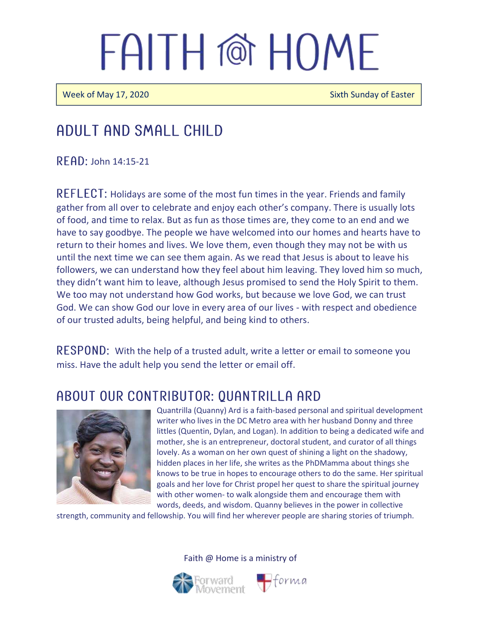Week of May 17, 2020 Sixth Sunday of Easter

### Adult and Small Child

 $R$  FAD: John 14:15-21

 $REFLECT$ : Holidays are some of the most fun times in the year. Friends and family gather from all over to celebrate and enjoy each other's company. There is usually lots of food, and time to relax. But as fun as those times are, they come to an end and we have to say goodbye. The people we have welcomed into our homes and hearts have to return to their homes and lives. We love them, even though they may not be with us until the next time we can see them again. As we read that Jesus is about to leave his followers, we can understand how they feel about him leaving. They loved him so much, they didn't want him to leave, although Jesus promised to send the Holy Spirit to them. We too may not understand how God works, but because we love God, we can trust God. We can show God our love in every area of our lives - with respect and obedience of our trusted adults, being helpful, and being kind to others.

 **With the help of a trusted adult, write a letter or email to someone you** miss. Have the adult help you send the letter or email off.

### ABOUT OUR CONTRIBUTOR: QUANTRILLA ARD



Quantrilla (Quanny) Ard is a faith-based personal and spiritual development writer who lives in the DC Metro area with her husband Donny and three littles (Quentin, Dylan, and Logan). In addition to being a dedicated wife and mother, she is an entrepreneur, doctoral student, and curator of all things lovely. As a woman on her own quest of shining a light on the shadowy, hidden places in her life, she writes as the PhDMamma about things she knows to be true in hopes to encourage others to do the same. Her spiritual goals and her love for Christ propel her quest to share the spiritual journey with other women- to walk alongside them and encourage them with words, deeds, and wisdom. Quanny believes in the power in collective

strength, community and fellowship. You will find her wherever people are sharing stories of triumph.

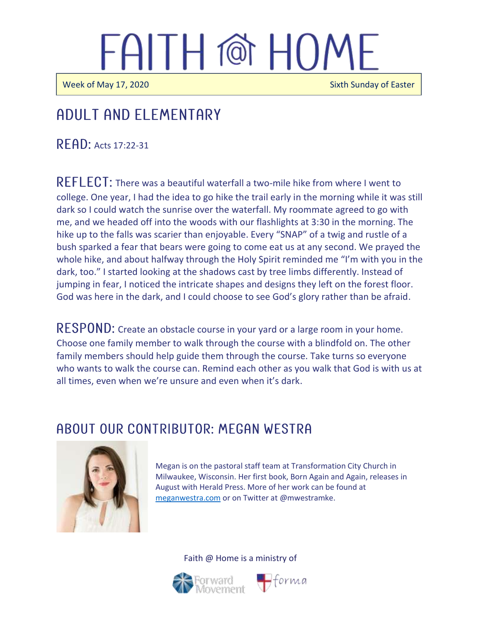$\overline{\phantom{a}}$ 

j

Week of May 17, 2020 **Sixth Sunday of Easter** 

## Adult and elementary

 $R$   $F$  $R$  $D$ : Acts 17:22-31

REFLECT: There was a beautiful waterfall a two-mile hike from where I went to college. One year, I had the idea to go hike the trail early in the morning while it was still dark so I could watch the sunrise over the waterfall. My roommate agreed to go with me, and we headed off into the woods with our flashlights at 3:30 in the morning. The hike up to the falls was scarier than enjoyable. Every "SNAP" of a twig and rustle of a bush sparked a fear that bears were going to come eat us at any second. We prayed the whole hike, and about halfway through the Holy Spirit reminded me "I'm with you in the dark, too." I started looking at the shadows cast by tree limbs differently. Instead of jumping in fear, I noticed the intricate shapes and designs they left on the forest floor. God was here in the dark, and I could choose to see God's glory rather than be afraid.

RESPOND: Create an obstacle course in your yard or a large room in your home. Choose one family member to walk through the course with a blindfold on. The other family members should help guide them through the course. Take turns so everyone who wants to walk the course can. Remind each other as you walk that God is with us at all times, even when we're unsure and even when it's dark.

### ABOUT OUR CONTRIBUTOR: MEGAN WESTRA



Megan is on the pastoral staff team at Transformation City Church in Milwaukee, Wisconsin. Her first book, Born Again and Again, releases in August with Herald Press. More of her work can be found at [meganwestra.com](https://meganwestra.com/) or on Twitter at @mwestramke.



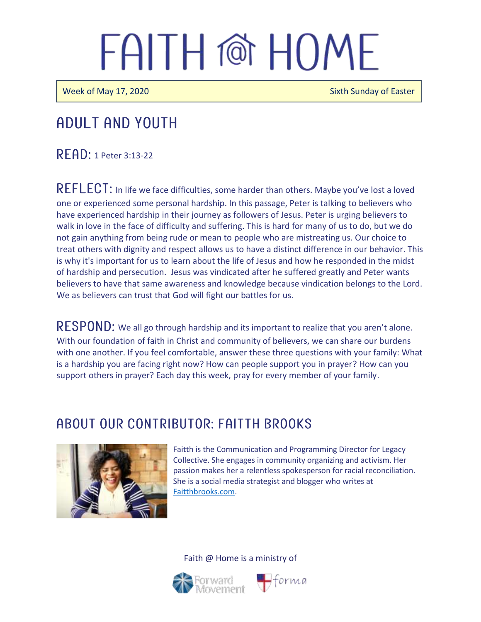Week of May 17, 2020 **Sixth Sunday of Easter** Sixth Sunday of Easter

### Adult and youth

 $R$  $F$  $A$  $D$ : 1 Peter 3:13-22

REFLECT: In life we face difficulties, some harder than others. Maybe you've lost a loved one or experienced some personal hardship. In this passage, Peter is talking to believers who have experienced hardship in their journey as followers of Jesus. Peter is urging believers to walk in love in the face of difficulty and suffering. This is hard for many of us to do, but we do not gain anything from being rude or mean to people who are mistreating us. Our choice to treat others with dignity and respect allows us to have a distinct difference in our behavior. This is why it's important for us to learn about the life of Jesus and how he responded in the midst of hardship and persecution. Jesus was vindicated after he suffered greatly and Peter wants believers to have that same awareness and knowledge because vindication belongs to the Lord. We as believers can trust that God will fight our battles for us.

RESPOND: We all go through hardship and its important to realize that you aren't alone. With our foundation of faith in Christ and community of believers, we can share our burdens with one another. If you feel comfortable, answer these three questions with your family: What is a hardship you are facing right now? How can people support you in prayer? How can you support others in prayer? Each day this week, pray for every member of your family.

### ABOUT OUR CONTRIBUTOR: FAITTH BROOKS



Faitth is the Communication and Programming Director for Legacy Collective. She engages in community organizing and activism. Her passion makes her a relentless spokesperson for racial reconciliation. She is a social media strategist and blogger who writes at [Faitthbrooks.com.](https://faitthbrooks.com/)